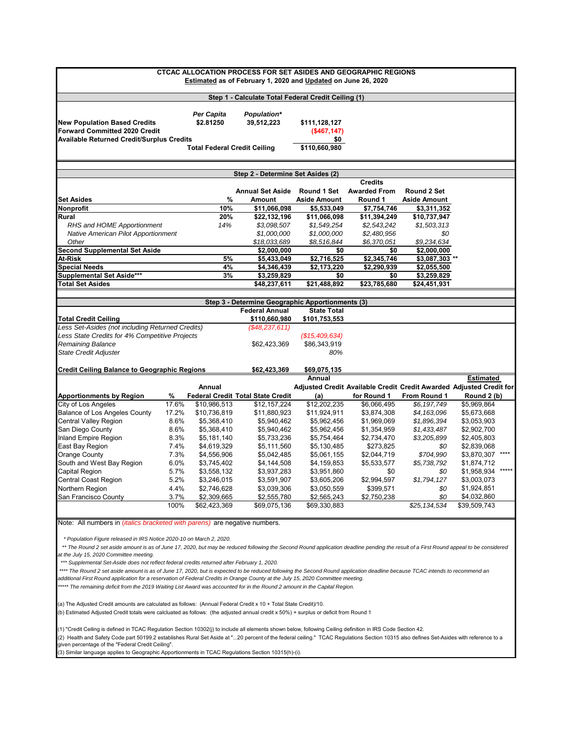| <b>CTCAC ALLOCATION PROCESS FOR SET ASIDES AND GEOGRAPHIC REGIONS</b>                                                                                                                  |       |                                     |                                                               |                     |                                                                     |                         |                  |         |
|----------------------------------------------------------------------------------------------------------------------------------------------------------------------------------------|-------|-------------------------------------|---------------------------------------------------------------|---------------------|---------------------------------------------------------------------|-------------------------|------------------|---------|
|                                                                                                                                                                                        |       |                                     |                                                               |                     |                                                                     |                         |                  |         |
|                                                                                                                                                                                        |       |                                     | Estimated as of February 1, 2020 and Updated on June 26, 2020 |                     |                                                                     |                         |                  |         |
|                                                                                                                                                                                        |       |                                     | Step 1 - Calculate Total Federal Credit Ceiling (1)           |                     |                                                                     |                         |                  |         |
|                                                                                                                                                                                        |       |                                     |                                                               |                     |                                                                     |                         |                  |         |
|                                                                                                                                                                                        |       | Per Capita                          | <b>Population*</b>                                            |                     |                                                                     |                         |                  |         |
| <b>New Population Based Credits</b>                                                                                                                                                    |       | \$2.81250                           | 39,512,223                                                    | \$111,128,127       |                                                                     |                         |                  |         |
| <b>Forward Committed 2020 Credit</b>                                                                                                                                                   |       |                                     |                                                               | (\$467,147)         |                                                                     |                         |                  |         |
| <b>Available Returned Credit/Surplus Credits</b>                                                                                                                                       |       |                                     |                                                               | \$0                 |                                                                     |                         |                  |         |
|                                                                                                                                                                                        |       | <b>Total Federal Credit Ceiling</b> |                                                               | \$110,660,980       |                                                                     |                         |                  |         |
|                                                                                                                                                                                        |       |                                     |                                                               |                     |                                                                     |                         |                  |         |
|                                                                                                                                                                                        |       |                                     | Step 2 - Determine Set Asides (2)                             |                     |                                                                     |                         |                  |         |
|                                                                                                                                                                                        |       |                                     |                                                               |                     | <b>Credits</b>                                                      |                         |                  |         |
|                                                                                                                                                                                        |       |                                     | <b>Annual Set Aside</b>                                       | Round 1 Set         | <b>Awarded From</b>                                                 | <b>Round 2 Set</b>      |                  |         |
| Set Asides                                                                                                                                                                             |       | %                                   | <b>Amount</b>                                                 | <b>Aside Amount</b> | Round 1                                                             | <b>Aside Amount</b>     |                  |         |
| Nonprofit                                                                                                                                                                              |       | 10%                                 | \$11,066,098                                                  | \$5,533,049         | \$7,754,746                                                         | \$3,311,352             |                  |         |
| Rural                                                                                                                                                                                  |       | 20%                                 | \$22,132,196                                                  | \$11,066,098        | \$11,394,249                                                        | \$10,737,947            |                  |         |
| RHS and HOME Apportionment                                                                                                                                                             |       | 14%                                 | \$3,098,507                                                   | \$1,549,254         | \$2,543,242                                                         | \$1,503,313             |                  |         |
| Native American Pilot Apportionment                                                                                                                                                    |       |                                     | \$1,000,000                                                   | \$1,000,000         | \$2,480,956                                                         | \$0                     |                  |         |
| Other                                                                                                                                                                                  |       |                                     | \$18,033,689                                                  | \$8,516,844         | \$6,370,051                                                         | \$9,234,634             |                  |         |
| <b>Second Supplemental Set Aside</b>                                                                                                                                                   |       |                                     | \$2,000,000                                                   | \$0                 | \$0                                                                 | \$2,000,000             |                  |         |
| At-Risk                                                                                                                                                                                |       | 5%                                  | \$5,433,049                                                   | \$2,716,525         | \$2,345,746                                                         | \$3,087,303 **          |                  |         |
| <b>Special Needs</b>                                                                                                                                                                   |       | 4%                                  | \$4,346,439                                                   | \$2,173,220         | \$2,290,939                                                         | $\overline{$}2,055,500$ |                  |         |
| Supplemental Set Aside***                                                                                                                                                              |       | 3%                                  | \$3,259,829                                                   | \$0                 | \$0                                                                 | \$3,259,829             |                  |         |
| <b>Total Set Asides</b>                                                                                                                                                                |       |                                     | \$48,237,611                                                  | \$21,488,892        | \$23,785,680                                                        | \$24,451,931            |                  |         |
|                                                                                                                                                                                        |       |                                     |                                                               |                     |                                                                     |                         |                  |         |
|                                                                                                                                                                                        |       |                                     | Step 3 - Determine Geographic Apportionments (3)              |                     |                                                                     |                         |                  |         |
|                                                                                                                                                                                        |       |                                     | <b>Federal Annual</b>                                         | <b>State Total</b>  |                                                                     |                         |                  |         |
| Total Credit Ceiling                                                                                                                                                                   |       |                                     | \$110,660,980                                                 | \$101,753,553       |                                                                     |                         |                  |         |
| Less Set-Asides (not including Returned Credits)                                                                                                                                       |       |                                     | (\$48,237,611)                                                |                     |                                                                     |                         |                  |         |
| Less State Credits for 4% Competitive Projects                                                                                                                                         |       |                                     |                                                               | (\$15,409,634)      |                                                                     |                         |                  |         |
| Remaining Balance                                                                                                                                                                      |       |                                     | \$62,423,369                                                  | \$86,343,919        |                                                                     |                         |                  |         |
| State Credit Adjuster                                                                                                                                                                  |       |                                     |                                                               | 80%                 |                                                                     |                         |                  |         |
| <b>Credit Ceiling Balance to Geographic Regions</b>                                                                                                                                    |       |                                     | \$62,423,369                                                  | \$69,075,135        |                                                                     |                         |                  |         |
|                                                                                                                                                                                        |       |                                     |                                                               | Annual              |                                                                     |                         | <b>Estimated</b> |         |
|                                                                                                                                                                                        |       | Annual                              |                                                               |                     | Adjusted Credit Available Credit Credit Awarded Adjusted Credit for |                         |                  |         |
| <b>Apportionments by Region</b>                                                                                                                                                        | %     |                                     | <b>Federal Credit Total State Credit</b>                      | (a)                 | for Round 1                                                         | From Round 1            | Round 2 (b)      |         |
| City of Los Angeles                                                                                                                                                                    | 17.6% | \$10,986,513                        | \$12,157,224                                                  | \$12,202,235        | \$6,066,495                                                         | \$6,197,749             | \$5,969,864      |         |
| <b>Balance of Los Angeles County</b>                                                                                                                                                   | 17.2% | \$10,736,819                        | \$11,880,923                                                  | \$11,924,911        | \$3,874,308                                                         | \$4,163,096             | \$5,673,668      |         |
| Central Valley Region                                                                                                                                                                  | 8.6%  | \$5,368,410                         | \$5,940,462                                                   | \$5,962,456         | \$1,969,069                                                         | \$1,896,394             | \$3,053,903      |         |
| San Diego County                                                                                                                                                                       | 8.6%  | \$5,368,410                         | \$5,940,462                                                   | \$5,962,456         | \$1,354,959                                                         | \$1,433,487             | \$2,902,700      |         |
| Inland Empire Region                                                                                                                                                                   | 8.3%  | \$5,181,140                         | \$5,733,236                                                   | \$5,754,464         | \$2,734,470                                                         | \$3,205,899             | \$2,405,803      |         |
| East Bay Region                                                                                                                                                                        | 7.4%  | \$4,619,329                         | \$5,111,560                                                   | \$5,130,485         | \$273,825                                                           | \$0                     | \$2,839,068      |         |
| Orange County                                                                                                                                                                          | 7.3%  | \$4,556,906                         | \$5,042,485                                                   | \$5,061,155         | \$2,044,719                                                         | \$704,990               | \$3,870,307      | $***$   |
| South and West Bay Region                                                                                                                                                              | 6.0%  | \$3,745,402                         | \$4,144,508                                                   | \$4,159,853         | \$5,533,577                                                         | \$5,738,792             | \$1,874,712      |         |
| Capital Region                                                                                                                                                                         | 5.7%  | \$3,558,132                         | \$3,937,283                                                   | \$3,951,860         | \$0                                                                 | \$0                     | \$1,958,934      | $*****$ |
| Central Coast Region                                                                                                                                                                   | 5.2%  | \$3,246,015                         | \$3,591,907                                                   | \$3,605,206         | \$2,994,597                                                         | \$1,794,127             | \$3,003,073      |         |
| Northern Region                                                                                                                                                                        | 4.4%  | \$2,746,628                         | \$3,039,306                                                   | \$3,050,559         | \$399,571                                                           | \$0                     | \$1,924,851      |         |
| San Francisco Countv                                                                                                                                                                   | 3.7%  | \$2,309,665                         | \$2,555,780                                                   | \$2,565,243         | \$2,750,238                                                         | \$0                     | \$4,032,860      |         |
|                                                                                                                                                                                        | 100%  | \$62,423,369                        | \$69.075.136                                                  | \$69,330,883        |                                                                     | \$25,134,534            | \$39,509,743     |         |
|                                                                                                                                                                                        |       |                                     |                                                               |                     |                                                                     |                         |                  |         |
| Note: All numbers in <i>(italics bracketed with parens)</i> are negative numbers.                                                                                                      |       |                                     |                                                               |                     |                                                                     |                         |                  |         |
| * Population Figure released in IRS Notice 2020-10 on March 2, 2020.                                                                                                                   |       |                                     |                                                               |                     |                                                                     |                         |                  |         |
| ** The Round 2 set aside amount is as of June 17, 2020, but may be reduced following the Second Round application deadline pending the result of a First Round appeal to be considered |       |                                     |                                                               |                     |                                                                     |                         |                  |         |
| at the July 15, 2020 Committee meeting.                                                                                                                                                |       |                                     |                                                               |                     |                                                                     |                         |                  |         |
| *** Supplemental Set-Aside does not reflect federal credits returned after February 1, 2020.                                                                                           |       |                                     |                                                               |                     |                                                                     |                         |                  |         |

\*\*\*\* The Round 2 set aside amount is as of June 17, 2020, but is expected to be reduced following the Second Round application deadline because TCAC intends to recommend an *additional First Round application for a reservation of Federal Credits in Orange County at the July 15, 2020 Committee meeting.*

*\*\*\*\*\* The remaining deficit from the 2019 Waiting List Award was accounted for in the Round 2 amount in the Capital Region.*

(a) The Adjusted Credit amounts are calculated as follows: (Annual Federal Credit x 10 + Total State Credit)/10.

(b) Estimated Adjusted Credit totals were calcluated as follows: (the adjusted annual credit x 50%) + surplus or deficit from Round 1

(1) "Credit Ceiling is defined in TCAC Regulation Section 10302(j) to include all elements shown below, following Ceiling definition in IRS Code Section 42.

(2) Health and Safety Code part 50199.2 establishes Rural Set Aside at "...20 percent of the federal ceiling." TCAC Regulations Section 10315 also defines Set-Asides with reference to a given percentage of the "Federal Credit Ceiling".

(3) Similar language applies to Geographic Apportionments in TCAC Regulations Section 10315(h)-(i).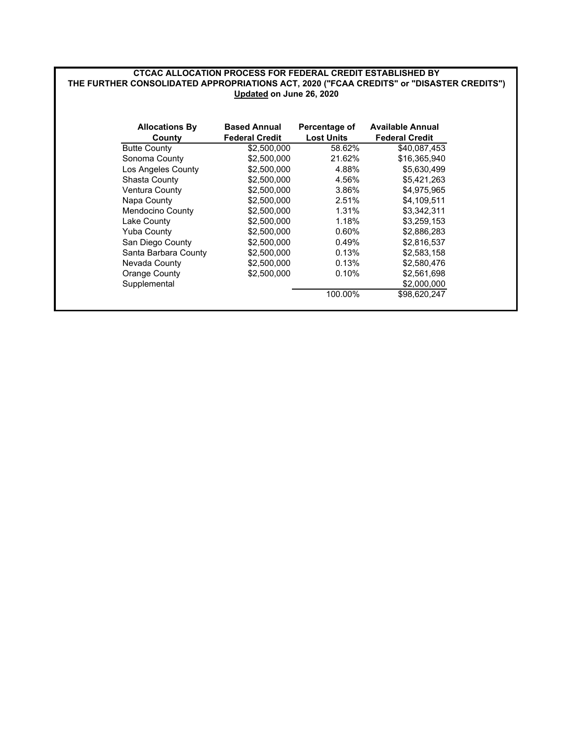## **CTCAC ALLOCATION PROCESS FOR FEDERAL CREDIT ESTABLISHED BY Updated on June 26, 2020 THE FURTHER CONSOLIDATED APPROPRIATIONS ACT, 2020 ("FCAA CREDITS" or "DISASTER CREDITS")**

| <b>Allocations By</b><br>County | <b>Based Annual</b><br><b>Federal Credit</b> | Percentage of<br><b>Lost Units</b> | <b>Available Annual</b><br><b>Federal Credit</b> |
|---------------------------------|----------------------------------------------|------------------------------------|--------------------------------------------------|
| <b>Butte County</b>             | \$2,500,000                                  | 58.62%                             | \$40.087.453                                     |
| Sonoma County                   | \$2,500,000                                  | 21.62%                             | \$16,365,940                                     |
| Los Angeles County              | \$2,500,000                                  | 4.88%                              | \$5.630.499                                      |
| Shasta County                   | \$2,500,000                                  | 4.56%                              | \$5,421,263                                      |
| <b>Ventura County</b>           | \$2,500,000                                  | 3.86%                              | \$4,975,965                                      |
| Napa County                     | \$2,500,000                                  | 2.51%                              | \$4.109.511                                      |
| Mendocino County                | \$2,500,000                                  | 1.31%                              | \$3,342,311                                      |
| Lake County                     | \$2,500,000                                  | 1.18%                              | \$3,259,153                                      |
| <b>Yuba County</b>              | \$2,500,000                                  | 0.60%                              | \$2,886,283                                      |
| San Diego County                | \$2,500,000                                  | 0.49%                              | \$2,816,537                                      |
| Santa Barbara County            | \$2,500,000                                  | 0.13%                              | \$2,583,158                                      |
| Nevada County                   | \$2,500,000                                  | 0.13%                              | \$2,580,476                                      |
| Orange County                   | \$2,500,000                                  | 0.10%                              | \$2,561,698                                      |
| Supplemental                    |                                              |                                    | \$2,000,000                                      |
|                                 |                                              | 100.00%                            | \$98,620,247                                     |